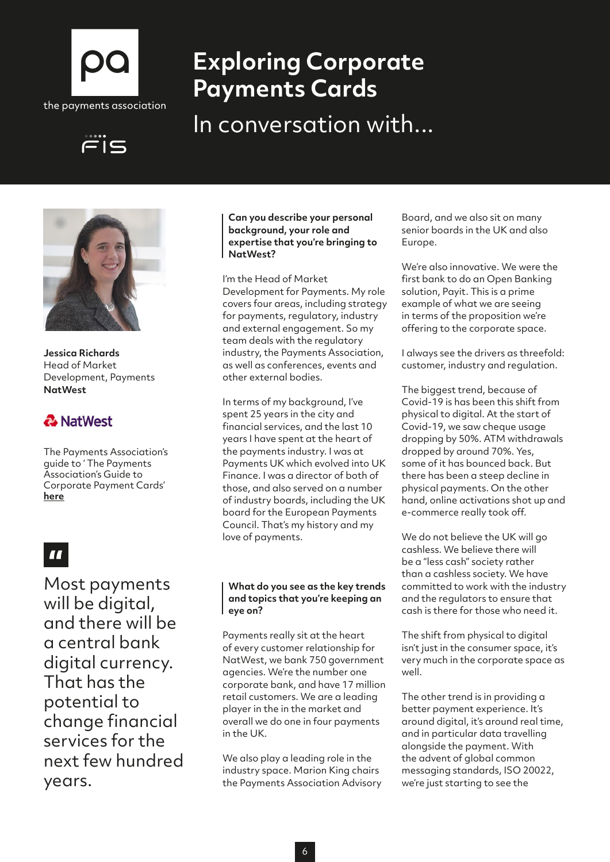

# **Exploring Corporate Payments Cards**

In conversation with...





**Jessica Richards** Head of Market Development, Payments **NatWest**

### & NatWest

The Payments Association's guide to ' The Payments Association's Guide to Corporate Payment Cards' **[here](http://here)**

# $\blacksquare$

Most payments will be digital, and there will be a central bank digital currency. That has the potential to change financial services for the next few hundred years.

#### **Can you describe your personal background, your role and expertise that you're bringing to NatWest?**

I'm the Head of Market Development for Payments. My role covers four areas, including strategy for payments, regulatory, industry and external engagement. So my team deals with the regulatory industry, the Payments Association, as well as conferences, events and other external bodies.

In terms of my background, I've spent 25 years in the city and financial services, and the last 10 years I have spent at the heart of the payments industry. I was at Payments UK which evolved into UK Finance. I was a director of both of those, and also served on a number of industry boards, including the UK board for the European Payments Council. That's my history and my love of payments.

### **What do you see as the key trends and topics that you're keeping an eye on?**

Payments really sit at the heart of every customer relationship for NatWest, we bank 750 government agencies. We're the number one corporate bank, and have 17 million retail customers. We are a leading player in the in the market and overall we do one in four payments in the UK.

We also play a leading role in the industry space. Marion King chairs the Payments Association Advisory Board, and we also sit on many senior boards in the UK and also Europe.

We're also innovative. We were the first bank to do an Open Banking solution, Payit. This is a prime example of what we are seeing in terms of the proposition we're offering to the corporate space.

I always see the drivers as threefold: customer, industry and regulation.

The biggest trend, because of Covid-19 is has been this shift from physical to digital. At the start of Covid-19, we saw cheque usage dropping by 50%. ATM withdrawals dropped by around 70%. Yes, some of it has bounced back. But there has been a steep decline in physical payments. On the other hand, online activations shot up and e-commerce really took off.

We do not believe the UK will go cashless. We believe there will be a "less cash" society rather than a cashless society. We have committed to work with the industry and the regulators to ensure that cash is there for those who need it.

The shift from physical to digital isn't just in the consumer space, it's very much in the corporate space as well.

The other trend is in providing a better payment experience. It's around digital, it's around real time, and in particular data travelling alongside the payment. With the advent of global common messaging standards, ISO 20022, we're just starting to see the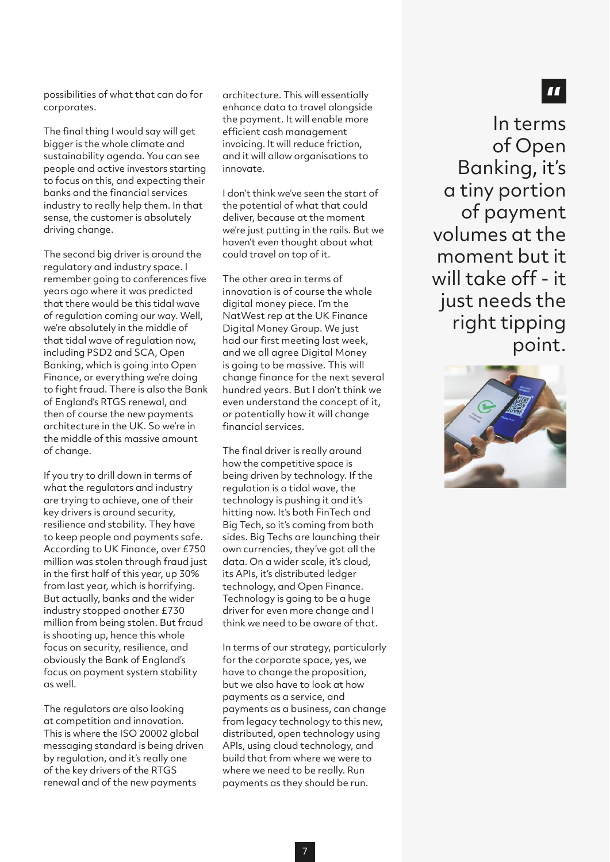possibilities of what that can do for corporates.

The final thing I would say will get bigger is the whole climate and sustainability agenda. You can see people and active investors starting to focus on this, and expecting their banks and the financial services industry to really help them. In that sense, the customer is absolutely driving change.

The second big driver is around the regulatory and industry space. I remember going to conferences five years ago where it was predicted that there would be this tidal wave of regulation coming our way. Well, we're absolutely in the middle of that tidal wave of regulation now, including PSD2 and SCA, Open Banking, which is going into Open Finance, or everything we're doing to fight fraud. There is also the Bank of England's RTGS renewal, and then of course the new payments architecture in the UK. So we're in the middle of this massive amount of change.

If you try to drill down in terms of what the regulators and industry are trying to achieve, one of their key drivers is around security, resilience and stability. They have to keep people and payments safe. According to UK Finance, over £750 million was stolen through fraud just in the first half of this year, up 30% from last year, which is horrifying. But actually, banks and the wider industry stopped another £730 million from being stolen. But fraud is shooting up, hence this whole focus on security, resilience, and obviously the Bank of England's focus on payment system stability as well.

The regulators are also looking at competition and innovation. This is where the ISO 20002 global messaging standard is being driven by regulation, and it's really one of the key drivers of the RTGS renewal and of the new payments

architecture. This will essentially enhance data to travel alongside the payment. It will enable more efficient cash management invoicing. It will reduce friction, and it will allow organisations to innovate.

I don't think we've seen the start of the potential of what that could deliver, because at the moment we're just putting in the rails. But we haven't even thought about what could travel on top of it.

The other area in terms of innovation is of course the whole digital money piece. I'm the NatWest rep at the UK Finance Digital Money Group. We just had our first meeting last week, and we all agree Digital Money is going to be massive. This will change finance for the next several hundred years. But I don't think we even understand the concept of it, or potentially how it will change financial services.

The final driver is really around how the competitive space is being driven by technology. If the regulation is a tidal wave, the technology is pushing it and it's hitting now. It's both FinTech and Big Tech, so it's coming from both sides. Big Techs are launching their own currencies, they've got all the data. On a wider scale, it's cloud, its APIs, it's distributed ledger technology, and Open Finance. Technology is going to be a huge driver for even more change and I think we need to be aware of that.

In terms of our strategy, particularly for the corporate space, yes, we have to change the proposition, but we also have to look at how payments as a service, and payments as a business, can change from legacy technology to this new, distributed, open technology using APIs, using cloud technology, and build that from where we were to where we need to be really. Run payments as they should be run.

In terms of Open Banking, it's a tiny portion of payment volumes at the moment but it will take off - it just needs the right tipping point.



 $\blacksquare$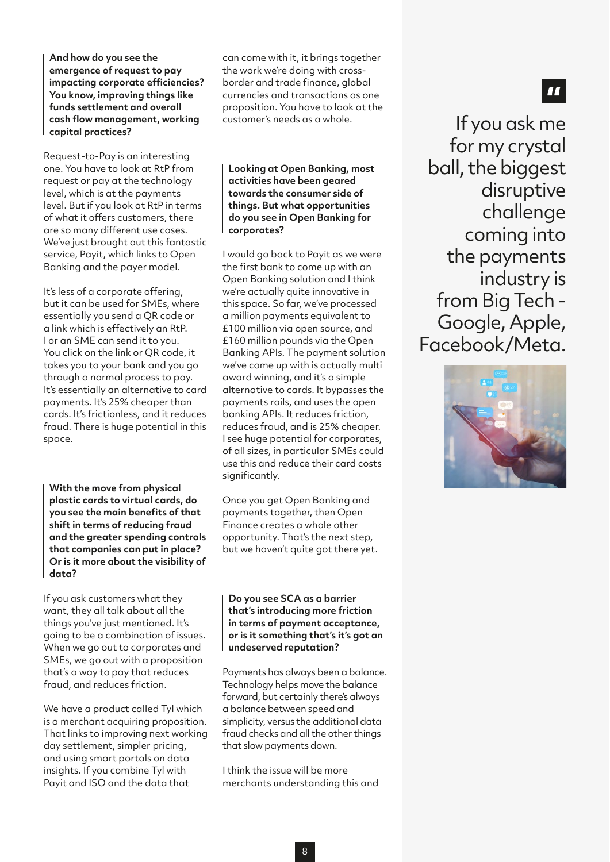**And how do you see the emergence of request to pay impacting corporate efficiencies? You know, improving things like funds settlement and overall cash flow management, working capital practices?** 

Request-to-Pay is an interesting one. You have to look at RtP from request or pay at the technology level, which is at the payments level. But if you look at RtP in terms of what it offers customers, there are so many different use cases. We've just brought out this fantastic service, Payit, which links to Open Banking and the payer model.

It's less of a corporate offering, but it can be used for SMEs, where essentially you send a QR code or a link which is effectively an RtP. I or an SME can send it to you. You click on the link or QR code, it takes you to your bank and you go through a normal process to pay. It's essentially an alternative to card payments. It's 25% cheaper than cards. It's frictionless, and it reduces fraud. There is huge potential in this space.

**With the move from physical plastic cards to virtual cards, do you see the main benefits of that shift in terms of reducing fraud and the greater spending controls that companies can put in place? Or is it more about the visibility of data?**

If you ask customers what they want, they all talk about all the things you've just mentioned. It's going to be a combination of issues. When we go out to corporates and SMEs, we go out with a proposition that's a way to pay that reduces fraud, and reduces friction.

We have a product called Tyl which is a merchant acquiring proposition. That links to improving next working day settlement, simpler pricing, and using smart portals on data insights. If you combine Tyl with Payit and ISO and the data that

can come with it, it brings together the work we're doing with crossborder and trade finance, global currencies and transactions as one proposition. You have to look at the customer's needs as a whole.

**Looking at Open Banking, most activities have been geared towards the consumer side of things. But what opportunities do you see in Open Banking for corporates?** 

I would go back to Payit as we were the first bank to come up with an Open Banking solution and I think we're actually quite innovative in this space. So far, we've processed a million payments equivalent to £100 million via open source, and £160 million pounds via the Open Banking APIs. The payment solution we've come up with is actually multi award winning, and it's a simple alternative to cards. It bypasses the payments rails, and uses the open banking APIs. It reduces friction, reduces fraud, and is 25% cheaper. I see huge potential for corporates, of all sizes, in particular SMEs could use this and reduce their card costs significantly.

Once you get Open Banking and payments together, then Open Finance creates a whole other opportunity. That's the next step, but we haven't quite got there yet.

**Do you see SCA as a barrier that's introducing more friction in terms of payment acceptance, or is it something that's it's got an undeserved reputation?**

Payments has always been a balance. Technology helps move the balance forward, but certainly there's always a balance between speed and simplicity, versus the additional data fraud checks and all the other things that slow payments down.

I think the issue will be more merchants understanding this and

If you ask me for my crystal ball, the biggest disruptive challenge coming into the payments industry is from Big Tech - Google, Apple, Facebook/Meta.



## $\blacksquare$